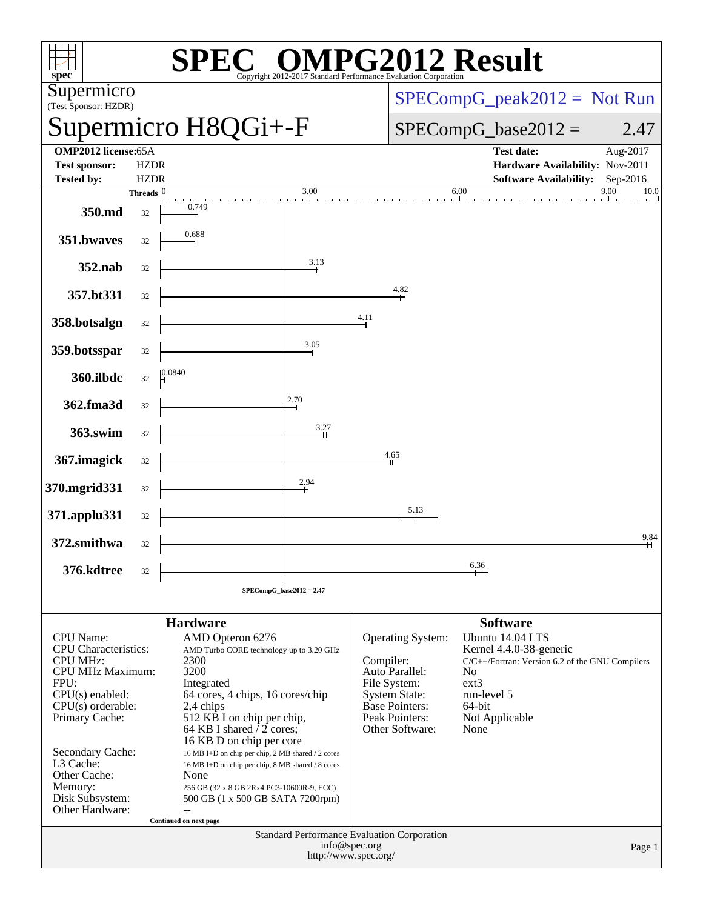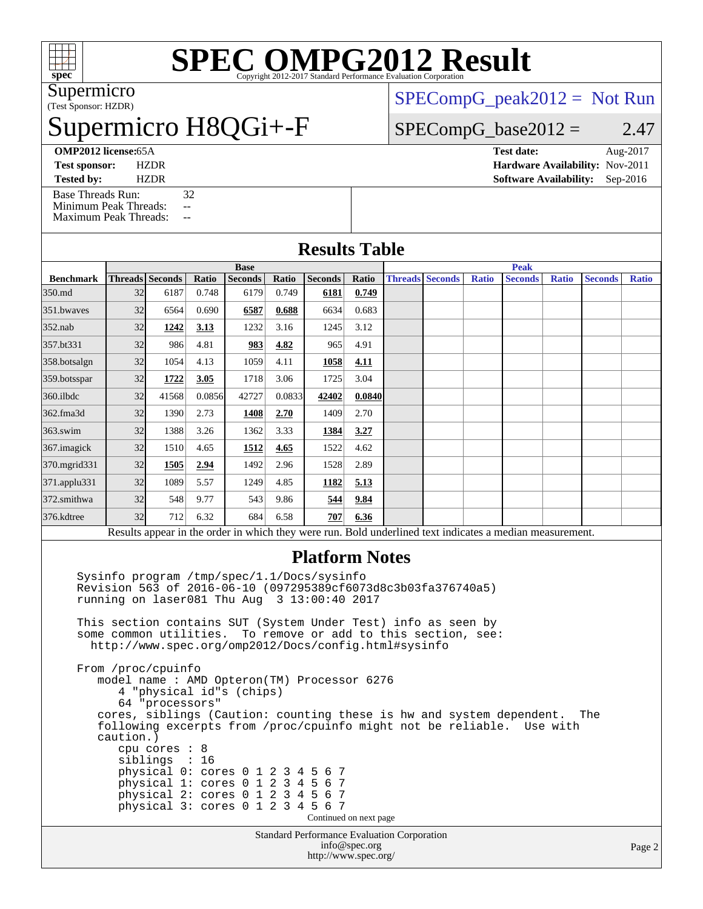

# **[SPEC OMPG2012 Result](http://www.spec.org/auto/omp2012/Docs/result-fields.html#SPECOMPG2012Result)**

(Test Sponsor: HZDR) Supermicro

## Supermicro H8QGi+-F

 $SPECompG_peak2012 = Not Run$  $SPECompG_peak2012 = Not Run$ 

 $SPECompG_base2012 = 2.47$  $SPECompG_base2012 = 2.47$ 

**[Tested by:](http://www.spec.org/auto/omp2012/Docs/result-fields.html#Testedby)** HZDR **[Software Availability:](http://www.spec.org/auto/omp2012/Docs/result-fields.html#SoftwareAvailability)** Sep-2016 [Base Threads Run:](http://www.spec.org/auto/omp2012/Docs/result-fields.html#BaseThreadsRun) 32 [Minimum Peak Threads:](http://www.spec.org/auto/omp2012/Docs/result-fields.html#MinimumPeakThreads) --

**[OMP2012 license:](http://www.spec.org/auto/omp2012/Docs/result-fields.html#OMP2012license)**65A **[Test date:](http://www.spec.org/auto/omp2012/Docs/result-fields.html#Testdate)** Aug-2017 **[Test sponsor:](http://www.spec.org/auto/omp2012/Docs/result-fields.html#Testsponsor)** HZDR **[Hardware Availability:](http://www.spec.org/auto/omp2012/Docs/result-fields.html#HardwareAvailability)** Nov-2011

#### [Maximum Peak Threads:](http://www.spec.org/auto/omp2012/Docs/result-fields.html#MaximumPeakThreads) -- **[Results Table](http://www.spec.org/auto/omp2012/Docs/result-fields.html#ResultsTable) [Benchmark](http://www.spec.org/auto/omp2012/Docs/result-fields.html#Benchmark) [Threads](http://www.spec.org/auto/omp2012/Docs/result-fields.html#Threads) [Seconds](http://www.spec.org/auto/omp2012/Docs/result-fields.html#Seconds) [Ratio](http://www.spec.org/auto/omp2012/Docs/result-fields.html#Ratio) [Seconds](http://www.spec.org/auto/omp2012/Docs/result-fields.html#Seconds) [Ratio](http://www.spec.org/auto/omp2012/Docs/result-fields.html#Ratio) [Seconds](http://www.spec.org/auto/omp2012/Docs/result-fields.html#Seconds) [Ratio](http://www.spec.org/auto/omp2012/Docs/result-fields.html#Ratio) Base [Threads](http://www.spec.org/auto/omp2012/Docs/result-fields.html#Threads) [Seconds](http://www.spec.org/auto/omp2012/Docs/result-fields.html#Seconds) [Ratio](http://www.spec.org/auto/omp2012/Docs/result-fields.html#Ratio) [Seconds](http://www.spec.org/auto/omp2012/Docs/result-fields.html#Seconds) [Ratio](http://www.spec.org/auto/omp2012/Docs/result-fields.html#Ratio) [Seconds](http://www.spec.org/auto/omp2012/Docs/result-fields.html#Seconds) [Ratio](http://www.spec.org/auto/omp2012/Docs/result-fields.html#Ratio) Peak** [350.md](http://www.spec.org/auto/omp2012/Docs/350.md.html) 32 6187 0.748 6179 0.749 **[6181](http://www.spec.org/auto/omp2012/Docs/result-fields.html#Median) [0.749](http://www.spec.org/auto/omp2012/Docs/result-fields.html#Median)** [351.bwaves](http://www.spec.org/auto/omp2012/Docs/351.bwaves.html) 32 6564 0.690 **[6587](http://www.spec.org/auto/omp2012/Docs/result-fields.html#Median) [0.688](http://www.spec.org/auto/omp2012/Docs/result-fields.html#Median)** 6634 0.683 [352.nab](http://www.spec.org/auto/omp2012/Docs/352.nab.html) 32 **[1242](http://www.spec.org/auto/omp2012/Docs/result-fields.html#Median) [3.13](http://www.spec.org/auto/omp2012/Docs/result-fields.html#Median)** 1232 3.16 1245 3.12 [357.bt331](http://www.spec.org/auto/omp2012/Docs/357.bt331.html) 32 986 4.81 **[983](http://www.spec.org/auto/omp2012/Docs/result-fields.html#Median) [4.82](http://www.spec.org/auto/omp2012/Docs/result-fields.html#Median)** 965 4.91 [358.botsalgn](http://www.spec.org/auto/omp2012/Docs/358.botsalgn.html) 32 1054 4.13 1059 4.11 **[1058](http://www.spec.org/auto/omp2012/Docs/result-fields.html#Median) [4.11](http://www.spec.org/auto/omp2012/Docs/result-fields.html#Median)** [359.botsspar](http://www.spec.org/auto/omp2012/Docs/359.botsspar.html) 32 **[1722](http://www.spec.org/auto/omp2012/Docs/result-fields.html#Median) [3.05](http://www.spec.org/auto/omp2012/Docs/result-fields.html#Median)** 1718 3.06 1725 3.04 [360.ilbdc](http://www.spec.org/auto/omp2012/Docs/360.ilbdc.html) 32 41568 0.0856 42727 0.0833 **[42402](http://www.spec.org/auto/omp2012/Docs/result-fields.html#Median) [0.0840](http://www.spec.org/auto/omp2012/Docs/result-fields.html#Median)** [362.fma3d](http://www.spec.org/auto/omp2012/Docs/362.fma3d.html) 32 1390 2.73 **[1408](http://www.spec.org/auto/omp2012/Docs/result-fields.html#Median) [2.70](http://www.spec.org/auto/omp2012/Docs/result-fields.html#Median)** 1409 2.70 [363.swim](http://www.spec.org/auto/omp2012/Docs/363.swim.html) 32 1388 3.26 1362 3.33 **[1384](http://www.spec.org/auto/omp2012/Docs/result-fields.html#Median) [3.27](http://www.spec.org/auto/omp2012/Docs/result-fields.html#Median)** [367.imagick](http://www.spec.org/auto/omp2012/Docs/367.imagick.html) 32 1510 4.65 **[1512](http://www.spec.org/auto/omp2012/Docs/result-fields.html#Median) [4.65](http://www.spec.org/auto/omp2012/Docs/result-fields.html#Median)** 1522 4.62 [370.mgrid331](http://www.spec.org/auto/omp2012/Docs/370.mgrid331.html) 32 **[1505](http://www.spec.org/auto/omp2012/Docs/result-fields.html#Median) [2.94](http://www.spec.org/auto/omp2012/Docs/result-fields.html#Median)** 1492 2.96 1528 2.89 [371.applu331](http://www.spec.org/auto/omp2012/Docs/371.applu331.html) 32 1089 5.57 1249 4.85 **[1182](http://www.spec.org/auto/omp2012/Docs/result-fields.html#Median) [5.13](http://www.spec.org/auto/omp2012/Docs/result-fields.html#Median)** [372.smithwa](http://www.spec.org/auto/omp2012/Docs/372.smithwa.html) 32 548 9.77 543 9.86 **[544](http://www.spec.org/auto/omp2012/Docs/result-fields.html#Median) [9.84](http://www.spec.org/auto/omp2012/Docs/result-fields.html#Median)** [376.kdtree](http://www.spec.org/auto/omp2012/Docs/376.kdtree.html) 32 712 6.32 684 6.58 **[707](http://www.spec.org/auto/omp2012/Docs/result-fields.html#Median) [6.36](http://www.spec.org/auto/omp2012/Docs/result-fields.html#Median)** Results appear in the [order in which they were run.](http://www.spec.org/auto/omp2012/Docs/result-fields.html#RunOrder) Bold underlined text [indicates a median measurement.](http://www.spec.org/auto/omp2012/Docs/result-fields.html#Median)

#### **[Platform Notes](http://www.spec.org/auto/omp2012/Docs/result-fields.html#PlatformNotes)**

 Sysinfo program /tmp/spec/1.1/Docs/sysinfo Revision 563 of 2016-06-10 (097295389cf6073d8c3b03fa376740a5) running on laser081 Thu Aug 3 13:00:40 2017 This section contains SUT (System Under Test) info as seen by some common utilities. To remove or add to this section, see: <http://www.spec.org/omp2012/Docs/config.html#sysinfo>

Standard Performance Evaluation Corporation From /proc/cpuinfo model name : AMD Opteron(TM) Processor 6276 4 "physical id"s (chips) 64 "processors" cores, siblings (Caution: counting these is hw and system dependent. The following excerpts from /proc/cpuinfo might not be reliable. Use with caution.) cpu cores : 8 siblings : 16 physical 0: cores 0 1 2 3 4 5 6 7 physical 1: cores 0 1 2 3 4 5 6 7 physical 2: cores 0 1 2 3 4 5 6 7 physical 3: cores 0 1 2 3 4 5 6 7 Continued on next page

[info@spec.org](mailto:info@spec.org) <http://www.spec.org/>

Page 2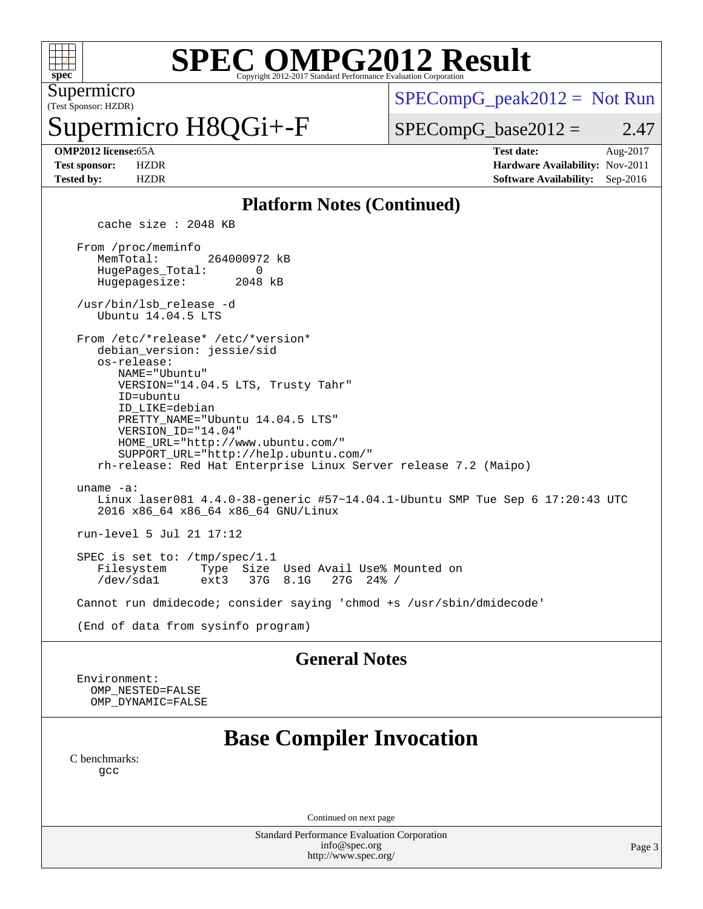

# **[SPEC OMPG2012 Result](http://www.spec.org/auto/omp2012/Docs/result-fields.html#SPECOMPG2012Result)**

(Test Sponsor: HZDR) Supermicro

permicro H8QGi+-F

 $SPECompG_peak2012 = Not Run$  $SPECompG_peak2012 = Not Run$ 

 $SPECompG_base2012 = 2.47$  $SPECompG_base2012 = 2.47$ 

**[OMP2012 license:](http://www.spec.org/auto/omp2012/Docs/result-fields.html#OMP2012license)**65A **[Test date:](http://www.spec.org/auto/omp2012/Docs/result-fields.html#Testdate)** Aug-2017 **[Test sponsor:](http://www.spec.org/auto/omp2012/Docs/result-fields.html#Testsponsor)** HZDR **[Hardware Availability:](http://www.spec.org/auto/omp2012/Docs/result-fields.html#HardwareAvailability)** Nov-2011 **[Tested by:](http://www.spec.org/auto/omp2012/Docs/result-fields.html#Testedby)** HZDR **[Software Availability:](http://www.spec.org/auto/omp2012/Docs/result-fields.html#SoftwareAvailability)** Sep-2016

#### **[Platform Notes \(Continued\)](http://www.spec.org/auto/omp2012/Docs/result-fields.html#PlatformNotes)**

cache size : 2048 KB

 From /proc/meminfo MemTotal: 264000972 kB<br>HugePages Total: 0 HugePages\_Total: 0<br>Hugepagesize: 2048 kB Hugepagesize:

 /usr/bin/lsb\_release -d Ubuntu 14.04.5 LTS

From /etc/\*release\* /etc/\*version\*

 debian\_version: jessie/sid os-release:

 NAME="Ubuntu" VERSION="14.04.5 LTS, Trusty Tahr" ID=ubuntu ID\_LIKE=debian PRETTY\_NAME="Ubuntu 14.04.5 LTS"

 VERSION\_ID="14.04" HOME\_URL="<http://www.ubuntu.com/"> SUPPORT\_URL="<http://help.ubuntu.com/"> rh-release: Red Hat Enterprise Linux Server release 7.2 (Maipo)

 uname -a: Linux laser081 4.4.0-38-generic #57~14.04.1-Ubuntu SMP Tue Sep 6 17:20:43 UTC 2016 x86\_64 x86\_64 x86\_64 GNU/Linux

run-level 5 Jul 21 17:12

SPEC is set to: /tmp/spec/1.1<br>Filesystem Type Size Filesystem Type Size Used Avail Use% Mounted on 37G 8.1G

Cannot run dmidecode; consider saying 'chmod +s /usr/sbin/dmidecode'

(End of data from sysinfo program)

#### **[General Notes](http://www.spec.org/auto/omp2012/Docs/result-fields.html#GeneralNotes)**

 Environment: OMP\_NESTED=FALSE OMP\_DYNAMIC=FALSE

### **[Base Compiler Invocation](http://www.spec.org/auto/omp2012/Docs/result-fields.html#BaseCompilerInvocation)**

[C benchmarks](http://www.spec.org/auto/omp2012/Docs/result-fields.html#Cbenchmarks): [gcc](http://www.spec.org/omp2012/results/res2017q3/omp2012-20170810-00121.flags.html#user_CCbase_gcc_l)

Continued on next page

Standard Performance Evaluation Corporation [info@spec.org](mailto:info@spec.org) <http://www.spec.org/>